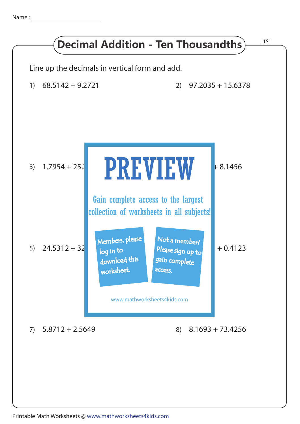